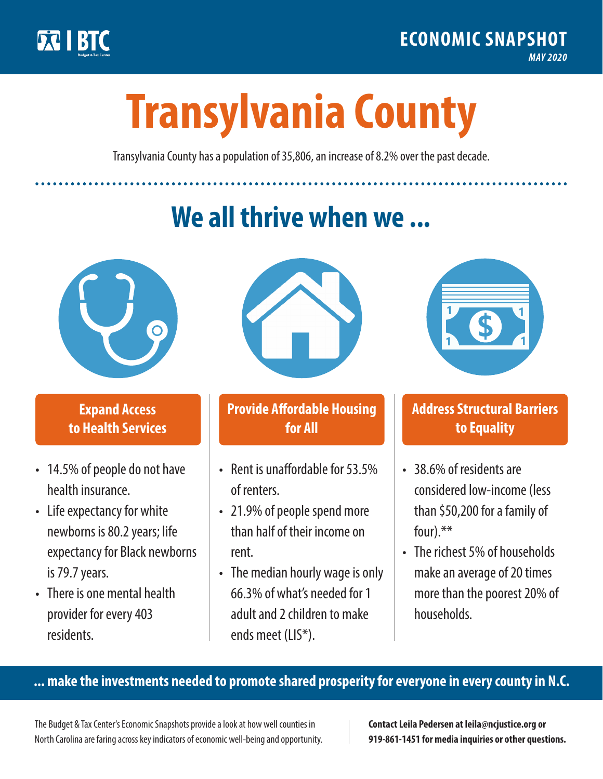

**1**

# **Transylvania County**

Transylvania County has a population of 35,806, an increase of 8.2% over the past decade.

# **We all thrive when we ...**



**\$ <sup>1</sup>**

**\$ <sup>1</sup>**

#### **Expand Access to Health Services**

- 14.5% of people do not have health insurance.
- Life expectancy for white newborns is 80.2years; life expectancy for Black newborns is 79.7 years.
- There is one mental health provider for every 403 residents.



## **Provide Affordable Housing for All**

- Rent is unaffordable for 53.5% of renters.
- 21.9% of people spend more than half of their income on rent.
- The median hourly wage is only 66.3% of what's needed for 1 adult and 2 children to make ends meet (LIS\*).



## **Address Structural Barriers to Equality**

- 38.6% of residents are considered low-income (less than \$50,200 for a family of four).\*\*
- The richest 5% of households make an average of 20 times more than the poorest 20% of households.

#### **... make the investments needed to promote shared prosperity for everyone in every county in N.C.**

The Budget & Tax Center's Economic Snapshots provide a look at how well counties in North Carolina are faring across key indicators of economic well-being and opportunity.